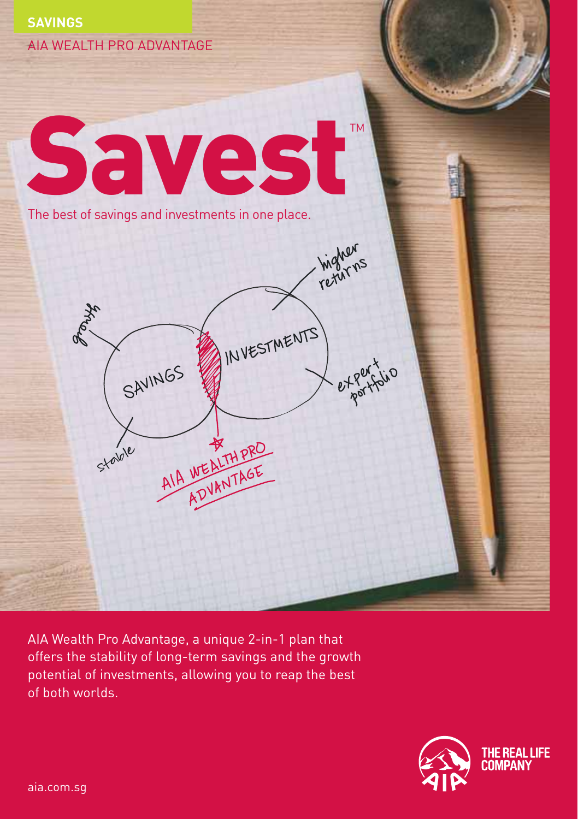

AIA Wealth Pro Advantage, a unique 2-in-1 plan that offers the stability of long-term savings and the growth potential of investments, allowing you to reap the best of both worlds.

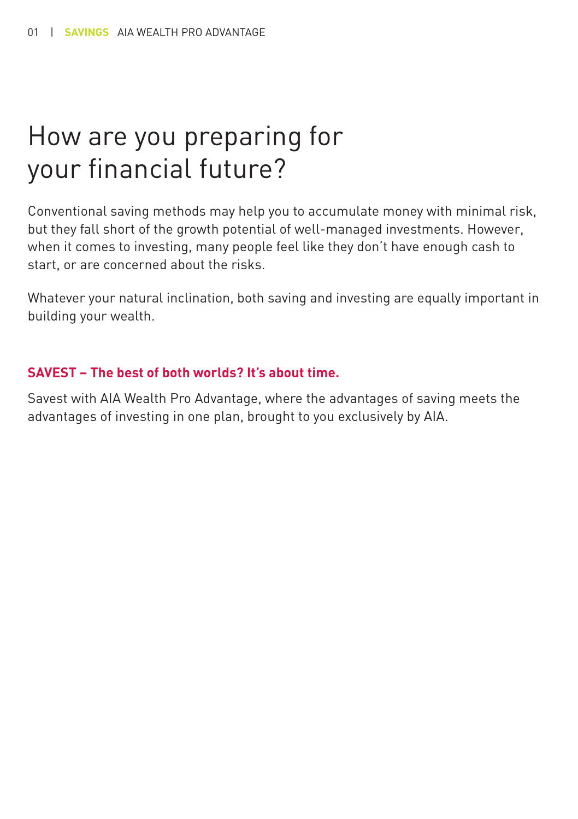### How are you preparing for your financial future?

Conventional saving methods may help you to accumulate money with minimal risk, but they fall short of the growth potential of well-managed investments. However, when it comes to investing, many people feel like they don't have enough cash to start, or are concerned about the risks.

Whatever your natural inclination, both saving and investing are equally important in building your wealth.

#### **SAVEST – The best of both worlds? It's about time.**

Savest with AIA Wealth Pro Advantage, where the advantages of saving meets the advantages of investing in one plan, brought to you exclusively by AIA.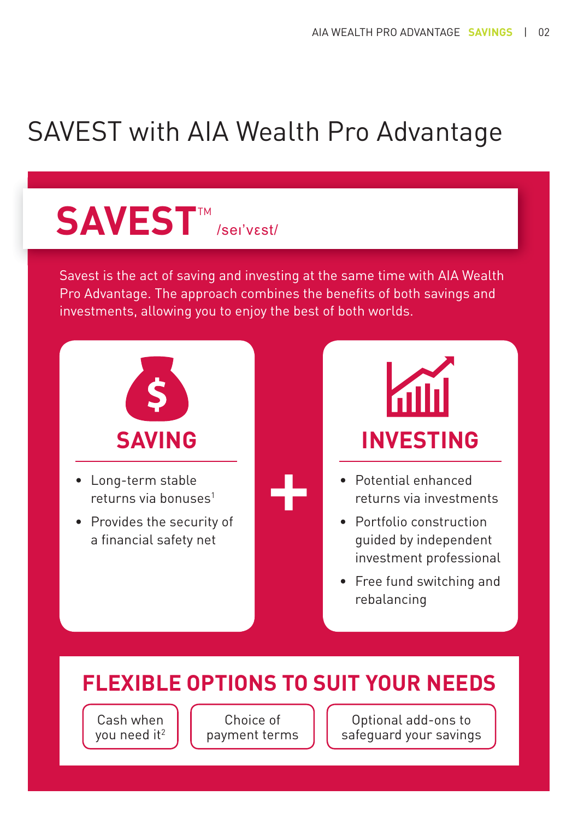## SAVEST with AIA Wealth Pro Advantage

# **SAVEST**™ /sei'vɛst/

Savest is the act of saving and investing at the same time with AIA Wealth Pro Advantage. The approach combines the benefits of both savings and investments, allowing you to enjoy the best of both worlds.



- Long-term stable returns via bonuses<sup>1</sup>
- Provides the security of a financial safety net



- Potential enhanced returns via investments
- Portfolio construction guided by independent investment professional
- Free fund switching and rebalancing

### **FLEXIBLE OPTIONS TO SUIT YOUR NEEDS**

 Cash when you need it<sup>2</sup>

Choice of payment terms

Optional add-ons to safeguard your savings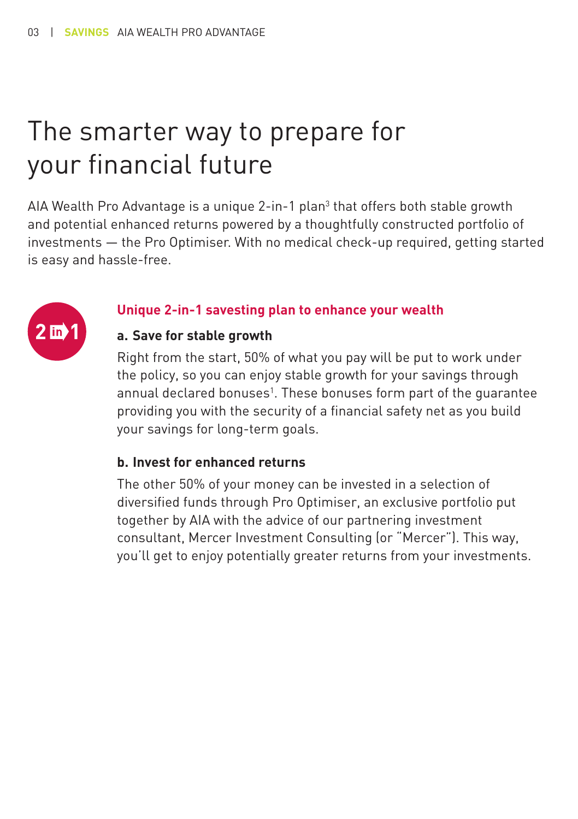## The smarter way to prepare for your financial future

AIA Wealth Pro Advantage is a unique 2-in-1 plan<sup>3</sup> that offers both stable growth and potential enhanced returns powered by a thoughtfully constructed portfolio of investments — the Pro Optimiser. With no medical check-up required, getting started is easy and hassle-free.



#### **Unique 2-in-1 savesting plan to enhance your wealth**

#### **a. Save for stable growth**

Right from the start, 50% of what you pay will be put to work under the policy, so you can enjoy stable growth for your savings through annual declared bonuses<sup>1</sup>. These bonuses form part of the guarantee providing you with the security of a financial safety net as you build your savings for long-term goals.

#### **b. Invest for enhanced returns**

The other 50% of your money can be invested in a selection of diversified funds through Pro Optimiser, an exclusive portfolio put together by AIA with the advice of our partnering investment consultant, Mercer Investment Consulting (or "Mercer"). This way, you'll get to enjoy potentially greater returns from your investments.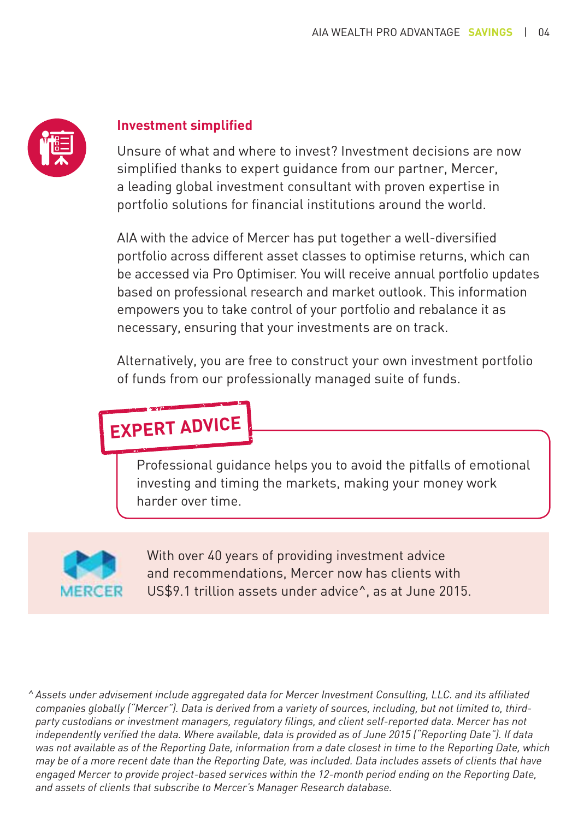

#### **Investment simplified**

Unsure of what and where to invest? Investment decisions are now simplified thanks to expert guidance from our partner, Mercer, a leading global investment consultant with proven expertise in portfolio solutions for financial institutions around the world.

AIA with the advice of Mercer has put together a well-diversified portfolio across different asset classes to optimise returns, which can be accessed via Pro Optimiser. You will receive annual portfolio updates based on professional research and market outlook. This information empowers you to take control of your portfolio and rebalance it as necessary, ensuring that your investments are on track.

Alternatively, you are free to construct your own investment portfolio of funds from our professionally managed suite of funds.

### **EXPERT ADVICE**

Professional guidance helps you to avoid the pitfalls of emotional investing and timing the markets, making your money work harder over time.



With over 40 years of providing investment advice and recommendations, Mercer now has clients with US\$9.1 trillion assets under advice^, as at June 2015.

*^ Assets under advisement include aggregated data for Mercer Investment Consulting, LLC. and its affiliated companies globally ("Mercer"). Data is derived from a variety of sources, including, but not limited to, thirdparty custodians or investment managers, regulatory filings, and client self-reported data. Mercer has not independently verified the data. Where available, data is provided as of June 2015 ("Reporting Date"). If data was not available as of the Reporting Date, information from a date closest in time to the Reporting Date, which may be of a more recent date than the Reporting Date, was included. Data includes assets of clients that have engaged Mercer to provide project-based services within the 12-month period ending on the Reporting Date, and assets of clients that subscribe to Mercer's Manager Research database.*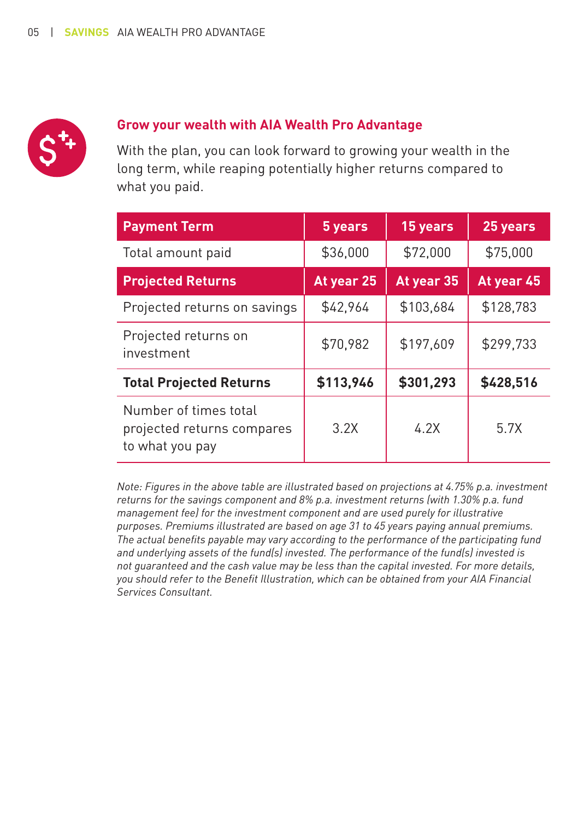

#### **Grow your wealth with AIA Wealth Pro Advantage**

With the plan, you can look forward to growing your wealth in the long term, while reaping potentially higher returns compared to what you paid.

| <b>Payment Term</b>                                                    | 5 years    | 15 years   | 25 years   |
|------------------------------------------------------------------------|------------|------------|------------|
| Total amount paid                                                      | \$36,000   | \$72,000   | \$75,000   |
| <b>Projected Returns</b>                                               | At year 25 | At year 35 | At year 45 |
| Projected returns on savings                                           | \$42,964   | \$103,684  | \$128,783  |
| Projected returns on<br>investment                                     | \$70,982   | \$197,609  | \$299,733  |
| <b>Total Projected Returns</b>                                         | \$113,946  | \$301,293  | \$428,516  |
| Number of times total<br>projected returns compares<br>to what you pay | 3.2X       | 4.2X       | 5.7X       |

*Note: Figures in the above table are illustrated based on projections at 4.75% p.a. investment returns for the savings component and 8% p.a. investment returns (with 1.30% p.a. fund management fee) for the investment component and are used purely for illustrative purposes. Premiums illustrated are based on age 31 to 45 years paying annual premiums. The actual benefits payable may vary according to the performance of the participating fund and underlying assets of the fund(s) invested. The performance of the fund(s) invested is not guaranteed and the cash value may be less than the capital invested. For more details, you should refer to the Benefit Illustration, which can be obtained from your AIA Financial Services Consultant.*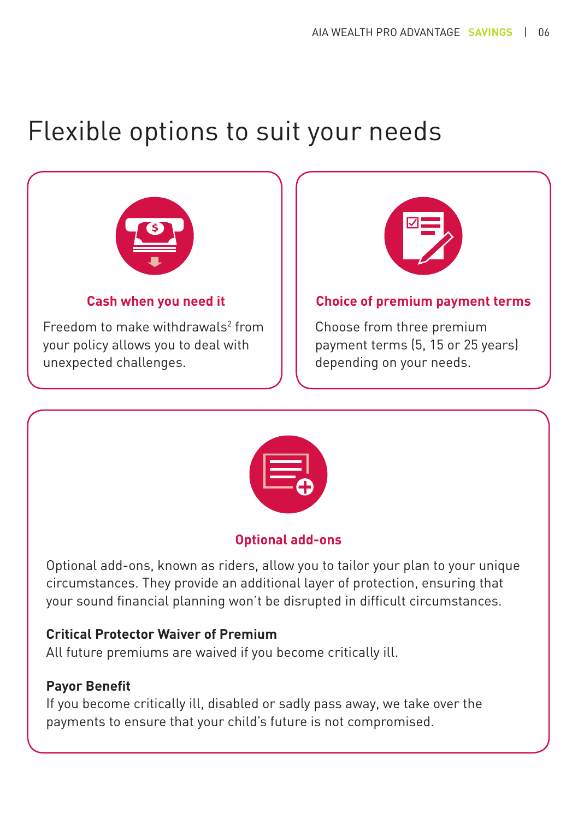### Flexible options to suit your needs



Freedom to make withdrawals $2$  from your policy allows you to deal with unexpected challenges.



#### **Choice of premium payment terms**

Choose from three premium payment terms (5, 15 or 25 years) depending on your needs.



#### **Optional add-ons**

Optional add-ons, known as riders, allow you to tailor your plan to your unique circumstances. They provide an additional layer of protection, ensuring that your sound financial planning won't be disrupted in difficult circumstances.

#### **Critical Protector Waiver of Premium**

All future premiums are waived if you become critically ill.

#### **Payor Benefit**

If you become critically ill, disabled or sadly pass away, we take over the payments to ensure that your child's future is not compromised.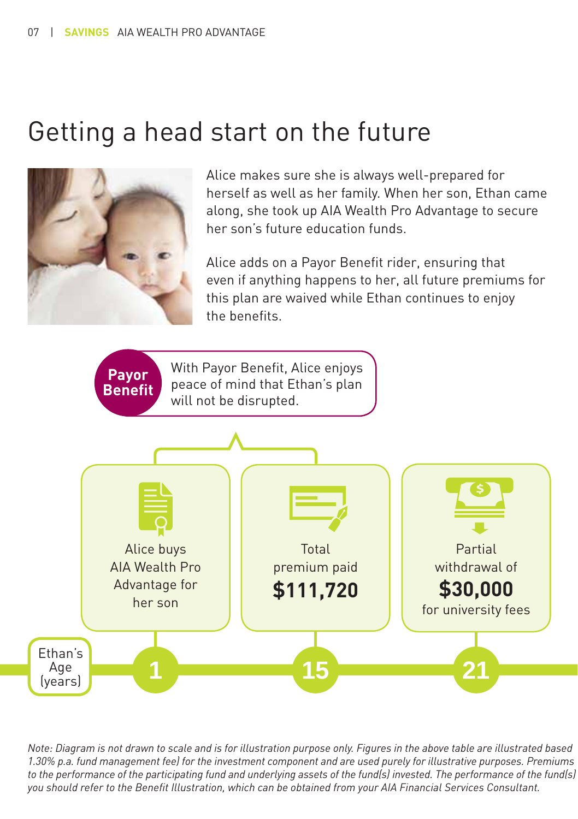### Getting a head start on the future



Alice makes sure she is always well-prepared for herself as well as her family. When her son, Ethan came along, she took up AIA Wealth Pro Advantage to secure her son's future education funds.

Alice adds on a Payor Benefit rider, ensuring that even if anything happens to her, all future premiums for this plan are waived while Ethan continues to enjoy the benefits.



*Note: Diagram is not drawn to scale and is for illustration purpose only. Figures in the above table are illustrated based 1.30% p.a. fund management fee) for the investment component and are used purely for illustrative purposes. Premiums to the performance of the participating fund and underlying assets of the fund(s) invested. The performance of the fund(s) you should refer to the Benefit Illustration, which can be obtained from your AIA Financial Services Consultant.*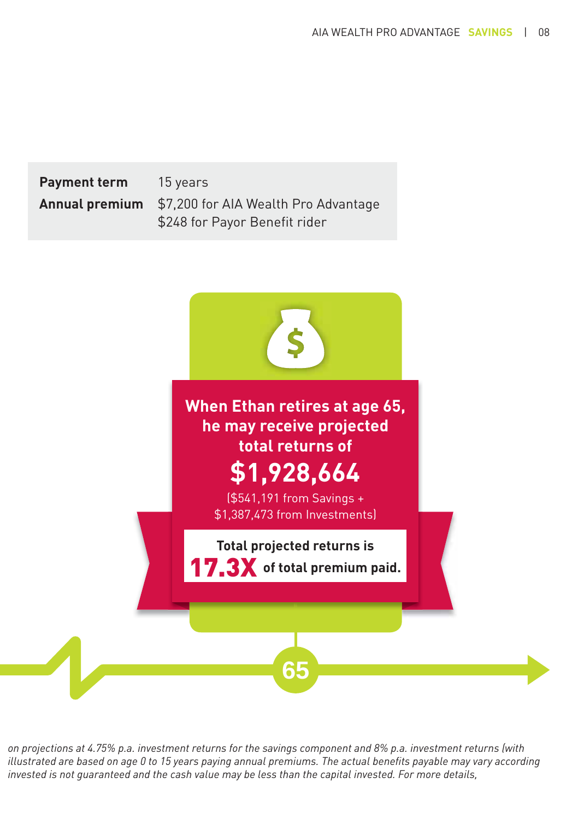**Payment term** 15 years **Annual premium** \$7,200 for AIA Wealth Pro Advantage \$248 for Payor Benefit rider



*on projections at 4.75% p.a. investment returns for the savings component and 8% p.a. investment returns (with illustrated are based on age 0 to 15 years paying annual premiums. The actual benefits payable may vary according invested is not guaranteed and the cash value may be less than the capital invested. For more details,*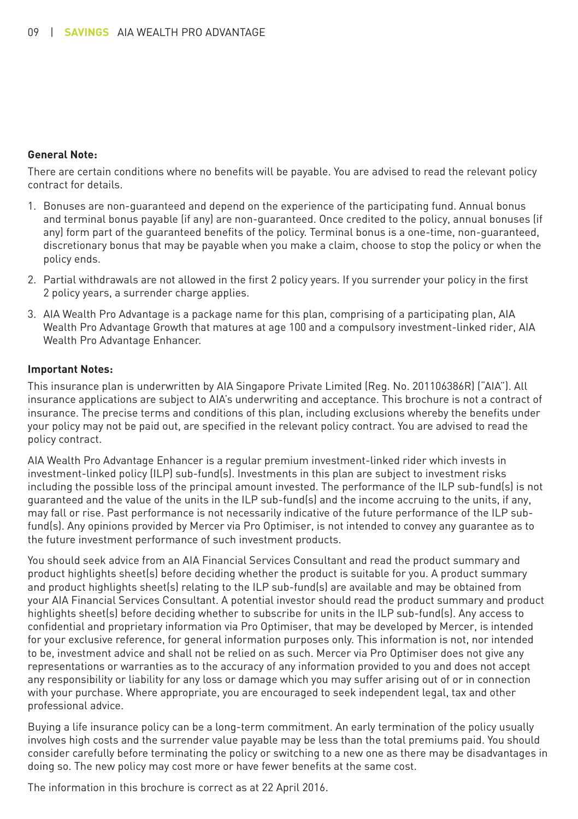#### **General Note:**

There are certain conditions where no benefits will be payable. You are advised to read the relevant policy contract for details.

- 1. Bonuses are non-guaranteed and depend on the experience of the participating fund. Annual bonus and terminal bonus payable (if any) are non-guaranteed. Once credited to the policy, annual bonuses (if any) form part of the guaranteed benefits of the policy. Terminal bonus is a one-time, non-guaranteed, discretionary bonus that may be payable when you make a claim, choose to stop the policy or when the policy ends.
- 2. Partial withdrawals are not allowed in the first 2 policy years. If you surrender your policy in the first 2 policy years, a surrender charge applies.
- 3. AIA Wealth Pro Advantage is a package name for this plan, comprising of a participating plan, AIA Wealth Pro Advantage Growth that matures at age 100 and a compulsory investment-linked rider, AIA Wealth Pro Advantage Enhancer.

#### **Important Notes:**

This insurance plan is underwritten by AIA Singapore Private Limited (Reg. No. 201106386R) ("AIA"). All insurance applications are subject to AIA's underwriting and acceptance. This brochure is not a contract of insurance. The precise terms and conditions of this plan, including exclusions whereby the benefits under your policy may not be paid out, are specified in the relevant policy contract. You are advised to read the policy contract.

AIA Wealth Pro Advantage Enhancer is a regular premium investment-linked rider which invests in investment-linked policy (ILP) sub-fund(s). Investments in this plan are subject to investment risks including the possible loss of the principal amount invested. The performance of the ILP sub-fund(s) is not guaranteed and the value of the units in the ILP sub-fund(s) and the income accruing to the units, if any, may fall or rise. Past performance is not necessarily indicative of the future performance of the ILP subfund(s). Any opinions provided by Mercer via Pro Optimiser, is not intended to convey any guarantee as to the future investment performance of such investment products.

You should seek advice from an AIA Financial Services Consultant and read the product summary and product highlights sheet(s) before deciding whether the product is suitable for you. A product summary and product highlights sheet(s) relating to the ILP sub-fund(s) are available and may be obtained from your AIA Financial Services Consultant. A potential investor should read the product summary and product highlights sheet(s) before deciding whether to subscribe for units in the ILP sub-fund(s). Any access to confidential and proprietary information via Pro Optimiser, that may be developed by Mercer, is intended for your exclusive reference, for general information purposes only. This information is not, nor intended to be, investment advice and shall not be relied on as such. Mercer via Pro Optimiser does not give any representations or warranties as to the accuracy of any information provided to you and does not accept any responsibility or liability for any loss or damage which you may suffer arising out of or in connection with your purchase. Where appropriate, you are encouraged to seek independent legal, tax and other professional advice.

Buying a life insurance policy can be a long-term commitment. An early termination of the policy usually involves high costs and the surrender value payable may be less than the total premiums paid. You should consider carefully before terminating the policy or switching to a new one as there may be disadvantages in doing so. The new policy may cost more or have fewer benefits at the same cost.

The information in this brochure is correct as at 22 April 2016.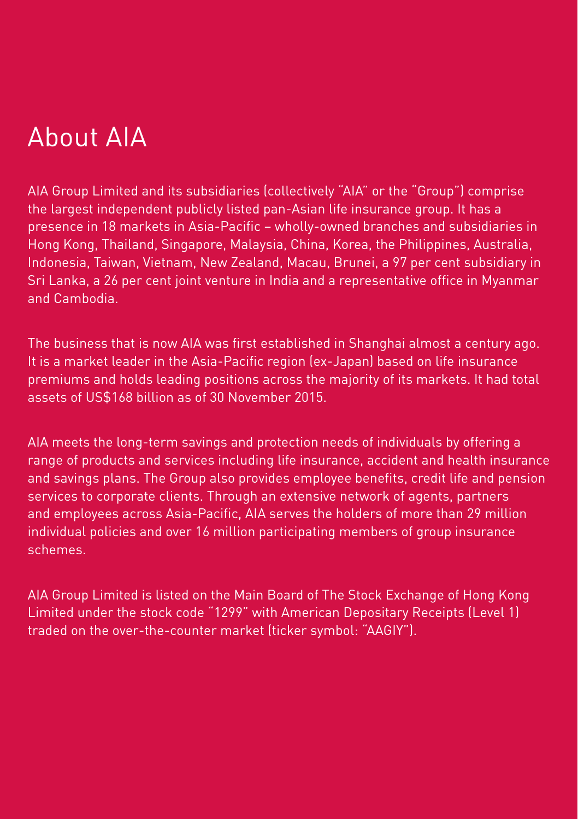AIA Group Limited and its subsidiaries (collectively "AIA" or the "Group") comprise the largest independent publicly listed pan-Asian life insurance group. It has a presence in 18 markets in Asia-Pacific – wholly-owned branches and subsidiaries in Hong Kong, Thailand, Singapore, Malaysia, China, Korea, the Philippines, Australia, Indonesia, Taiwan, Vietnam, New Zealand, Macau, Brunei, a 97 per cent subsidiary in Sri Lanka, a 26 per cent joint venture in India and a representative office in Myanmar and Cambodia.

The business that is now AIA was first established in Shanghai almost a century ago. It is a market leader in the Asia-Pacific region (ex-Japan) based on life insurance premiums and holds leading positions across the majority of its markets. It had total assets of US\$168 billion as of 30 November 2015.

AIA meets the long-term savings and protection needs of individuals by offering a range of products and services including life insurance, accident and health insurance and savings plans. The Group also provides employee benefits, credit life and pension services to corporate clients. Through an extensive network of agents, partners and employees across Asia-Pacific, AIA serves the holders of more than 29 million individual policies and over 16 million participating members of group insurance schemes.

AIA Group Limited is listed on the Main Board of The Stock Exchange of Hong Kong Limited under the stock code "1299" with American Depositary Receipts (Level 1) traded on the over-the-counter market (ticker symbol: "AAGIY").